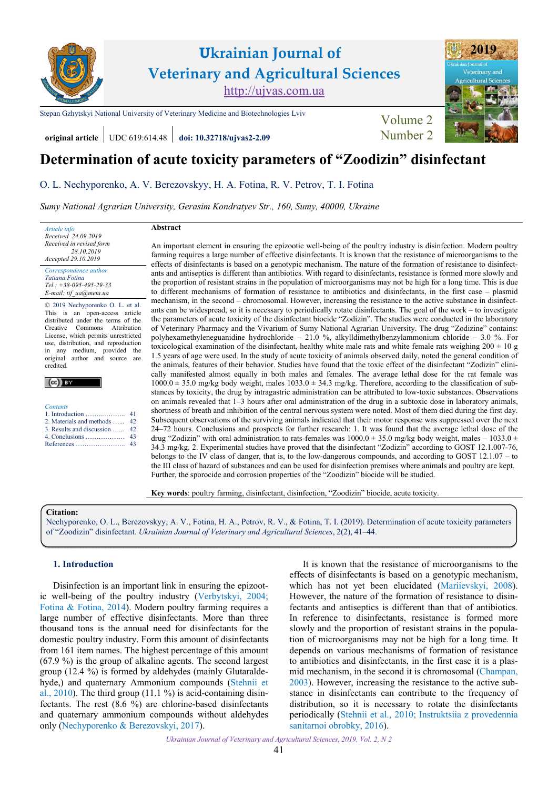

[Stepan Gzhytskyi National University of Veterinary Medicine and Biotechnologies Lviv](https://lvet.edu.ua) Volume 2

**original article** UDC 619:614.48 **[doi: 10.32718/ujvas2-2.09](https://doi.org/10.32718/10.32718/ujvas2-2.09)** [Number 2](https://ujvas.com.ua/index.php/journal/issue/view/4)



# **Determination of acute toxicity parameters of "Zoodizin" disinfectant**

[О. L. Nechyporenko,](https://orcid.org/0000-0002-9030-9719) [A. V. Berezovskyy,](https://orcid.org/0000-0002-5825-9504) [H. A. Fotina](https://orcid.org/0000-0002-0761-3681), [R. V. Petrov,](https://orcid.org/0000-0001-6252-7965) [T. I. Fotina](https://orcid.org/0000-0001-5079-2390)

*[Sumy National Agrarian University, Gerasim Kondratyev Str., 160, Sumy, 40000, Ukraine](https://snau.edu.ua)* 

*Article info Received 24.09.2019 Received in revised form 28.10.2019 Accepted 29.10.2019 Correspondence author* 

*[Tatiana Fotina](https://orcid.org/0000-0001-5079-2390) Tel.: +38-095-495-29-33 E-mail: tif\_ua@meta.ua* 

© 2019 Nechyporenko О. L. et al. This is an open-access article distributed under the terms of the Creative Commons Attribution License, which permits unrestricted use, distribution, and reproduction in any medium, provided the original author and source are credited.

| <b>Contents</b>               |  |
|-------------------------------|--|
|                               |  |
| 2. Materials and methods  42  |  |
| 3. Results and discussion  42 |  |
|                               |  |
|                               |  |
|                               |  |

## **Abstract**

An important element in ensuring the epizootic well-being of the poultry industry is disinfection. Modern poultry farming requires a large number of effective disinfectants. It is known that the resistance of microorganisms to the effects of disinfectants is based on a genotypic mechanism. The nature of the formation of resistance to disinfectants and antiseptics is different than antibiotics. With regard to disinfectants, resistance is formed more slowly and the proportion of resistant strains in the population of microorganisms may not be high for a long time. This is due to different mechanisms of formation of resistance to antibiotics and disinfectants, in the first case – plasmid mechanism, in the second – chromosomal. However, increasing the resistance to the active substance in disinfectants can be widespread, so it is necessary to periodically rotate disinfectants. The goal of the work – to investigate the parameters of acute toxicity of the disinfectant biocide "Zodizin". The studies were conducted in the laboratory of Veterinary Pharmacy and the Vivarium of Sumy National Agrarian University. The drug "Zodizine" contains: polyhexamethyleneguanidine hydrochloride – 21.0 %, alkylldimethylbenzylammonium chloride – 3.0 %. For toxicological examination of the disinfectant, healthy white male rats and white female rats weighing  $200 \pm 10$  g 1.5 years of age were used. In the study of acute toxicity of animals observed daily, noted the general condition of the animals, features of their behavior. Studies have found that the toxic effect of the disinfectant "Zodizin" clinically manifested almost equally in both males and females. The average lethal dose for the rat female was 1000.0  $\pm$  35.0 mg/kg body weight, males 1033.0  $\pm$  34.3 mg/kg. Therefore, according to the classification of substances by toxicity, the drug by intragastric administration can be attributed to low-toxic substances. Observations on animals revealed that 1–3 hours after oral administration of the drug in a subtoxic dose in laboratory animals, shortness of breath and inhibition of the central nervous system were noted. Most of them died during the first day. Subsequent observations of the surviving animals indicated that their motor response was suppressed over the next 24–72 hours. Conclusions and prospects for further research: 1. It was found that the average lethal dose of the drug "Zodizin" with oral administration to rats-females was  $1000.0 \pm 35.0$  mg/kg body weight, males –  $1033.0 \pm 100$ 34.3 mg/kg. 2. Experimental studies have proved that the disinfectant "Zodizin" according to GOST 12.1.007-76, belongs to the IV class of danger, that is, to the low-dangerous compounds, and according to GOST 12.1.07 – to the III class of hazard of substances and can be used for disinfection premises where animals and poultry are kept. Further, the sporoсide and corrosion properties of the "Zoodizin" biocide will be studied.

**Key words**: poultry farming, disinfectant, disinfection, "Zoodizin" biocide, acute toxicity.

#### **Citation:**

[Nechyporenko, О. L., Berezovskyy, A. V., Fotina, H. A., Petrov, R. V., & Fotina, T. I. \(2019\). Determination of acute toxicity parameters](https://doi.org/10.32718/10.32718/ujvas2-2.09) of "Zoodizin" disinfectant. *Ukrainian Journal of Veterinary and Agricultural Sciences*, 2(2), 41–44.

## **1. Introduction**

Disinfection is an important link in ensuring the epizootic well-being of the poultry industry [\(Verbytskyi, 2004;](#page-3-0) [Fotina & Fotina, 2014](#page-2-0)). Modern poultry farming requires a large number of effective disinfectants. More than three thousand tons is the annual need for disinfectants for the domestic poultry industry. Form this amount of disinfectants from 161 item names. The highest percentage of this amount (67.9 %) is the group of alkaline agents. The second largest group (12.4 %) is formed by aldehydes (mainly Glutaraldehyde,) and quaternary Ammonium compounds [\(Stehnii et](#page-3-0) al.,  $2010$ ). The third group (11.1 %) is acid-containing disinfectants. The rest (8.6 %) are chlorine-based disinfectants and quaternary ammonium compounds without aldehydes only [\(Nechyporenko & Berezovskyi, 2017\)](#page-3-0).

It is known that the resistance of microorganisms to the effects of disinfectants is based on a genotypic mechanism, which has not yet been elucidated [\(Mariievskyi, 2008\)](#page-3-0). However, the nature of the formation of resistance to disinfectants and antiseptics is different than that of antibiotics. In reference to disinfectants, resistance is formed more slowly and the proportion of resistant strains in the population of microorganisms may not be high for a long time. It depends on various mechanisms of formation of resistance to antibiotics and disinfectants, in the first case it is a plasmid mechanism, in the second it is chromosomal ([Champan,](#page-2-0)  [2003](#page-2-0)). However, increasing the resistance to the active substance in disinfectants can contribute to the frequency of distribution, so it is necessary to rotate the disinfectants periodically [\(Stehnii et al., 2010](#page-3-0); [Instruktsiia z provedennia](#page-2-0)  [sanitarnoi obrobky, 2016](#page-2-0)).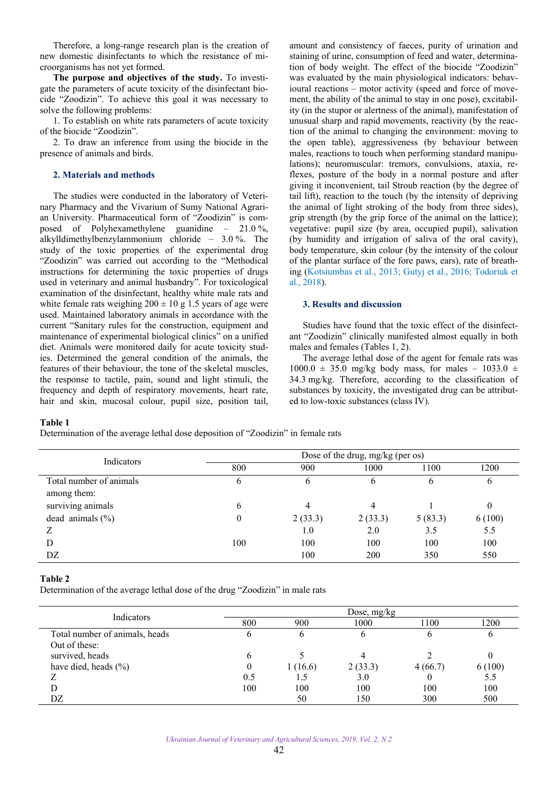<span id="page-1-0"></span>Therefore, a long-range research plan is the creation of new domestic disinfectants to which the resistance of microorganisms has not yet formed.

**The purpose and objectives of the study.** To investigate the parameters of acute toxicity of the disinfectant biocide "Zoоdizin". To achieve this goal it was necessary to solve the following problems:

1. To establish on white rats parameters of acute toxicity of the biocide "Zoоdizin".

2. To draw an inference from using the biocide in the presence of animals and birds.

#### **2. Materials and methods**

The studies were conducted in the laboratory of Veterinary Pharmacy and the Vivarium of Sumy National Agrarian University. Pharmaceutical form of "Zoоdizin" is composed of Polyhexamethylene guanidine – 21.0 %, alkylldimethylbenzylammonium chloride – 3.0 %. The study of the toxic properties of the experimental drug "Zoodizin" was carried out according to the "Methodical instructions for determining the toxic properties of drugs used in veterinary and animal husbandry". For toxicological examination of the disinfectant, healthy white male rats and white female rats weighing  $200 \pm 10$  g 1.5 years of age were used. Maintained laboratory animals in accordance with the current "Sanitary rules for the construction, equipment and maintenance of experimental biological clinics" on a unified diet. Animals were monitored daily for acute toxicity studies. Determined the general condition of the animals, the features of their behaviour, the tone of the skeletal muscles, the response to tactile, pain, sound and light stimuli, the frequency and depth of respiratory movements, heart rate, hair and skin, mucosal colour, pupil size, position tail,

amount and consistency of faeces, purity of urination and staining of urine, consumption of feed and water, determination of body weight. The effect of the biocide "Zoodizin" was evaluated by the main physiological indicators: behavioural reactions – motor activity (speed and force of movement, the ability of the animal to stay in one pose), excitability (in the stupor or alertness of the animal), manifestation of unusual sharp and rapid movements, reactivity (by the reaction of the animal to changing the environment: moving to the open table), aggressiveness (by behaviour between males, reactions to touch when performing standard manipulations); neuromuscular: tremors, convulsions, ataxia, reflexes, posture of the body in a normal posture and after giving it inconvenient, tail Stroub reaction (by the degree of tail lift), reaction to the touch (by the intensity of depriving the animal of light stroking of the body from three sides), grip strength (by the grip force of the animal on the lattice); vegetative: pupil size (by area, occupied pupil), salivation (by humidity and irrigation of saliva of the oral cavity), body temperature, skin colour (by the intensity of the colour of the plantar surface of the fore paws, ears), rate of breathing [\(Kotsiumbas et al., 2013;](#page-3-0) [Gutyj et al., 2016;](#page-2-0) [Todoriuk et](#page-3-0)  [al., 2018\)](#page-3-0).

## **3. Results and discussion**

Studies have found that the toxic effect of the disinfectant "Zoоdizin" clinically manifested almost equally in both males and females (Tables 1, 2).

The average lethal dose of the agent for female rats was  $1000.0 \pm 35.0$  mg/kg body mass, for males – 1033.0  $\pm$ 34.3 mg/kg. Therefore, according to the classification of substances by toxicity, the investigated drug can be attributed to low-toxic substances (class IV).

#### **Table 1**

Determination of the average lethal dose deposition of "Zoodizin" in female rats

| Indicators              | Dose of the drug, mg/kg (per os) |              |         |         |        |
|-------------------------|----------------------------------|--------------|---------|---------|--------|
|                         | 800                              | 900          | 1000    | 1100    | 1200   |
| Total number of animals | O                                | <sub>(</sub> | O       |         | O      |
| among them:             |                                  |              |         |         |        |
| surviving animals       | b                                |              | 4       |         | 0      |
| dead animals $(\% )$    | 0                                | 2(33.3)      | 2(33.3) | 5(83.3) | 6(100) |
|                         |                                  | 1.0          | 2.0     | 3.5     | 5.5    |
| D                       | 100                              | 100          | 100     | 100     | 100    |
| DZ                      |                                  | 100          | 200     | 350     | 550    |

## **Table 2**

Determination of the average lethal dose of the drug "Zoоdizin" in male rats

| Indicators                     | Dose, $mg/kg$ |         |         |         |        |
|--------------------------------|---------------|---------|---------|---------|--------|
|                                | 800           | 900     | 1000    | 100     | 1200   |
| Total number of animals, heads | O             |         |         |         | O      |
| Out of these:                  |               |         |         |         |        |
| survived, heads                |               |         |         |         |        |
| have died, heads $(\% )$       |               | 1(16.6) | 2(33.3) | 4(66.7) | 6(100) |
|                                | 0.5           |         | 3.0     |         | 5.5    |
|                                | 100           | 100     | 100     | 100     | 100    |
| DZ                             |               | 50      | 150     | 300     | 500    |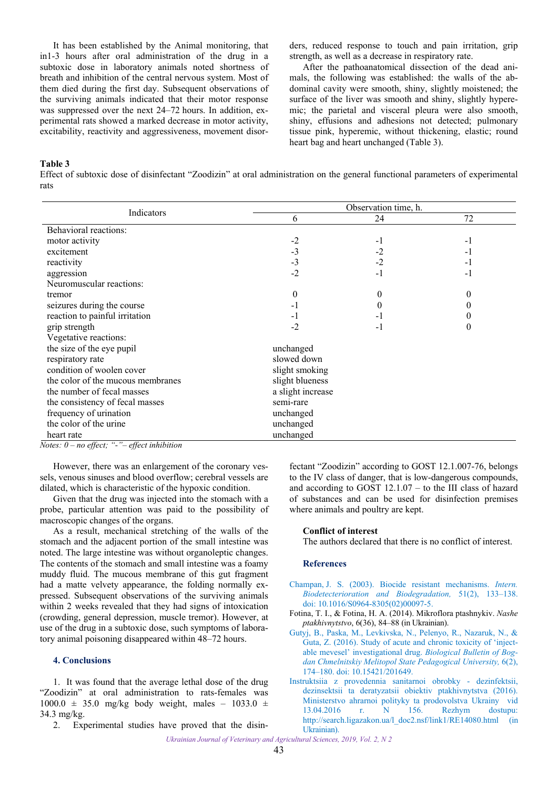<span id="page-2-0"></span>It has been established by the Animal monitoring, that in1-3 hours after oral administration of the drug in a subtoxic dose in laboratory animals noted shortness of breath and inhibition of the central nervous system. Most of them died during the first day. Subsequent observations of the surviving animals indicated that their motor response was suppressed over the next 24–72 hours. In addition, experimental rats showed a marked decrease in motor activity, excitability, reactivity and aggressiveness, movement disorders, reduced response to touch and pain irritation, grip strength, as well as a decrease in respiratory rate.

After the pathoanatomical dissection of the dead animals, the following was established: the walls of the abdominal cavity were smooth, shiny, slightly moistened; the surface of the liver was smooth and shiny, slightly hyperemic; the parietal and visceral pleura were also smooth, shiny, effusions and adhesions not detected; pulmonary tissue pink, hyperemic, without thickening, elastic; round heart bag and heart unchanged (Table 3).

**Table 3** 

Effect of subtoxic dose of disinfectant "Zoodizin" at oral administration on the general functional parameters of experimental rats

|                                   | Observation time, h. |      |          |  |  |
|-----------------------------------|----------------------|------|----------|--|--|
| Indicators                        | 6                    | 24   | 72       |  |  |
| Behavioral reactions:             |                      |      |          |  |  |
| motor activity                    | $-2$                 | $-1$ | -1       |  |  |
| excitement                        | $-3$                 | -2   | -1       |  |  |
| reactivity                        | $-3$                 | $-2$ | -1       |  |  |
| aggression                        | $-2$                 | $-1$ | -1       |  |  |
| Neuromuscular reactions:          |                      |      |          |  |  |
| tremor                            | $\theta$             | 0    | $^{(1)}$ |  |  |
| seizures during the course        | - 1                  |      |          |  |  |
| reaction to painful irritation    | -1                   | - 1  |          |  |  |
| grip strength                     | $-2$                 | -1   | 0        |  |  |
| Vegetative reactions:             |                      |      |          |  |  |
| the size of the eye pupil         | unchanged            |      |          |  |  |
| respiratory rate                  | slowed down          |      |          |  |  |
| condition of woolen cover         | slight smoking       |      |          |  |  |
| the color of the mucous membranes | slight blueness      |      |          |  |  |
| the number of fecal masses        | a slight increase    |      |          |  |  |
| the consistency of fecal masses   | semi-rare            |      |          |  |  |
| frequency of urination            | unchanged            |      |          |  |  |
| the color of the urine            | unchanged            |      |          |  |  |
| heart rate                        | unchanged            |      |          |  |  |

*Notes: 0* – *no effect; "-"*– *effect inhibition* 

However, there was an enlargement of the coronary vessels, venous sinuses and blood overflow; cerebral vessels are dilated, which is characteristic of the hypoxic condition.

Given that the drug was injected into the stomach with a probe, particular attention was paid to the possibility of macroscopic changes of the organs.

As a result, mechanical stretching of the walls of the stomach and the adjacent portion of the small intestine was noted. The large intestine was without organoleptic changes. The contents of the stomach and small intestine was a foamy muddy fluid. The mucous membrane of this gut fragment had a matte velvety appearance, the folding normally expressed. Subsequent observations of the surviving animals within 2 weeks revealed that they had signs of intoxication (crowding, general depression, muscle tremor). However, at use of the drug in a subtoxic dose, such symptoms of laboratory animal poisoning disappeared within 48–72 hours.

## **4. Conclusions**

1. It was found that the average lethal dose of the drug "Zoodizin" at oral administration to rats-females was  $1000.0 \pm 35.0$  mg/kg body weight, males – 1033.0  $\pm$ 34.3 mg/kg.

2. Experimental studies have proved that the disin-

fectant "Zoodizin" according to GOST 12.1.007-76, belongs to the IV class of danger, that is low-dangerous compounds, and according to GOST 12.1.07 – to the III class of hazard of substances and can be used for disinfection premises where animals and poultry are kept.

### **Conflict of interest**

The authors declared that there is no conflict of interest.

## **References**

- [Champan, J. S. \(2003\). Biocide resistant mechanisms.](https://doi.org/10.1016/S0964-8305(02)00097-5) *Intern. Biodetecterioration and Biodegradation,* 51(2), 133–138. doi: 10.1016/S0964-8305(02)00097-5.
- Fotina, T. I., & Fotina, H. A. (2014). Mikroflora ptashnykiv. *Nashe ptakhivnytstvo*, 6(36), 84–88 (in Ukrainian).
- [Gutyj, B., Paska, M., Levkivska, N., Pelenyo, R., Nazaruk, N., &](https://doi.org/10.15421/201649)  Guta, Z. (2016). Study of acute and chronic toxicity of 'injectable mevesel' investigational drug. *Biological Bulletin of Bogdan Chmelnitskiy Melitopol State Pedagogical University,* 6(2), 174–180. doi: 10.15421/201649.
- [Instruktsiia z provedennia sanitarnoi obrobky dezinfektsii,](http://search.ligazakon.ua/l_doc2.nsf/link1/RE14080.html)  dezinsektsii ta deratyzatsii obiektiv ptakhivnytstva (2016). Ministerstvo ahrarnoi polityky ta prodovolstva Ukrainy vid 13.04.2016 r. N 156. Rezhym dostupu: http://search.ligazakon.ua/l\_doc2.nsf/link1/RE14080.html (in Ukrainian).

*Ukrainian Journal of Veterinary and Agricultural Sciences, 2019, Vol. 2, N 2*